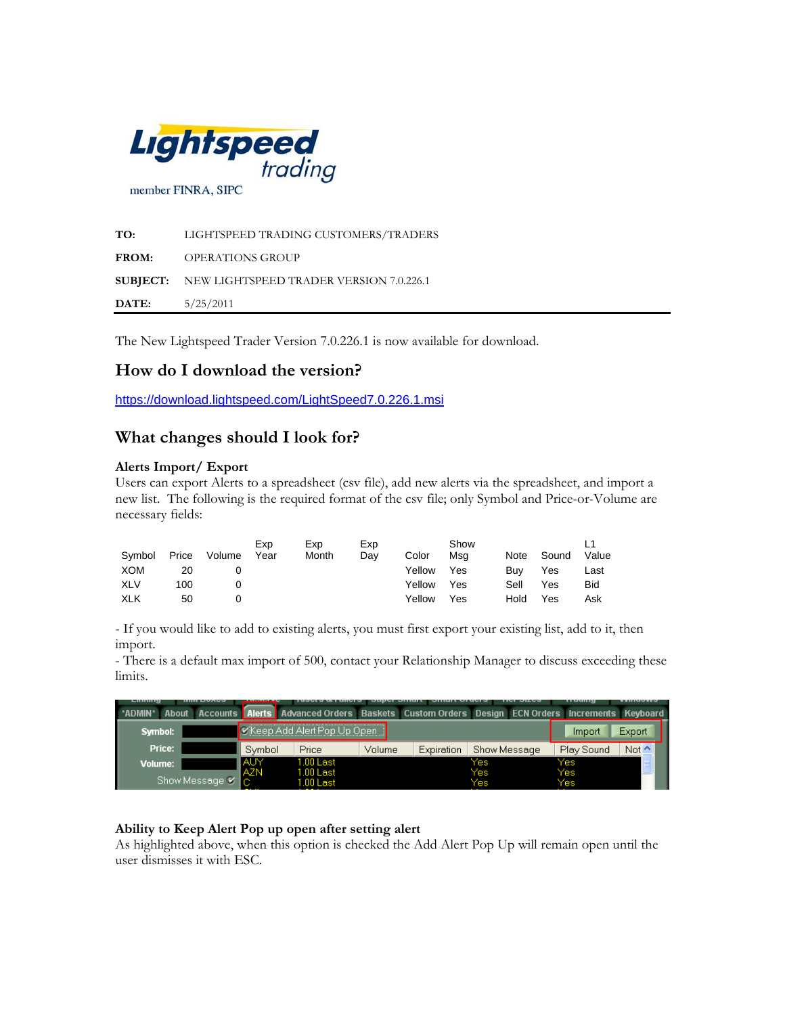

**TO:** LIGHTSPEED TRADING CUSTOMERS/TRADERS **FROM:** OPERATIONS GROUP **SUBJECT:** NEW LIGHTSPEED TRADER VERSION 7.0.226.1 **DATE:** 5/25/2011

The New Lightspeed Trader Version 7.0.226.1 is now available for download.

# **How do I download the version?**

<https://download.lightspeed.com/LightSpeed7.0.226.1.msi>

## **What changes should I look for?**

## **Alerts Import/ Export**

Users can export Alerts to a spreadsheet (csv file), add new alerts via the spreadsheet, and import a new list. The following is the required format of the csv file; only Symbol and Price-or-Volume are necessary fields:

| Symbol     | Price | Volume | Exp<br>Year | Exp<br>Month | Exp<br>Day | Color  | Show<br>Msa | Note | Sound | Value |
|------------|-------|--------|-------------|--------------|------------|--------|-------------|------|-------|-------|
| <b>XOM</b> | 20    |        |             |              |            | Yellow | Yes         | Buv  | Yes   | Last  |
| <b>XLV</b> | 100   |        |             |              |            | Yellow | Yes         | Sell | Yes   | Bid   |
| <b>XLK</b> | 50    |        |             |              |            | Yellow | Yes         | Hold | Yes   | Ask   |

- If you would like to add to existing alerts, you must first export your existing list, add to it, then import.

- There is a default max import of 500, contact your Relationship Manager to discuss exceeding these limits.

| $-1111111114$<br>                          |            |                                          |        | <b>TUBLED ON FUNCTION DUPLET DIRECT DIRECT OF ALL OF A</b> | <b>INIVIAR</b>                                                                     |            | .          |
|--------------------------------------------|------------|------------------------------------------|--------|------------------------------------------------------------|------------------------------------------------------------------------------------|------------|------------|
| *ADMIN*<br><b>About</b><br><b>Accounts</b> |            |                                          |        |                                                            | Alerts Advanced Orders Baskets Custom Orders Design ECN Orders Increments Keyboard |            |            |
| Symbol:                                    |            | l <b>∨</b> iKeep Add Alert Pop Up Open - |        |                                                            |                                                                                    | Import     | Export     |
| Price:                                     | Symbol     | Price                                    | Volume | Expiration                                                 | Show Message                                                                       | Play Sound | Not $\sim$ |
| Volume:                                    | <b>AUY</b> | $1.00$ Last                              |        |                                                            | Yes                                                                                | Yes        |            |
| Show Message V                             | <b>AZN</b> | $1.00$ Last<br>$1.00$ Last               |        |                                                            | Yes<br>Yes                                                                         | Yes<br>Yes |            |

#### **Ability to Keep Alert Pop up open after setting alert**

As highlighted above, when this option is checked the Add Alert Pop Up will remain open until the user dismisses it with ESC.